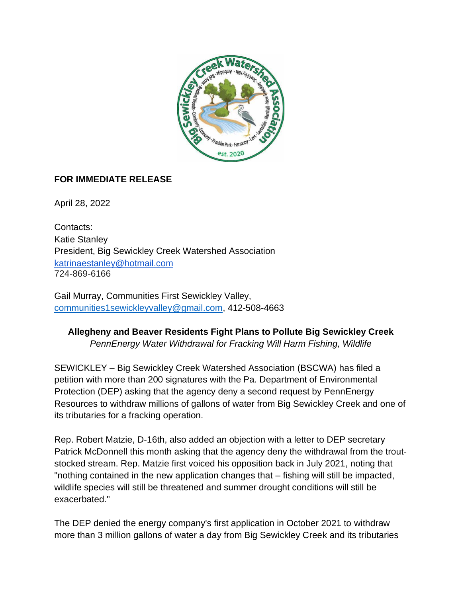

## **FOR IMMEDIATE RELEASE**

April 28, 2022

Contacts: Katie Stanley President, Big Sewickley Creek Watershed Association [katrinaestanley@hotmail.com](mailto:katrinaestanley@hotmail.com) 724-869-6166

Gail Murray, Communities First Sewickley Valley, [communities1sewickleyvalley@gmail.com,](mailto:communities1sewickleyvalley@gmail.com) 412-508-4663

## **Allegheny and Beaver Residents Fight Plans to Pollute Big Sewickley Creek** *PennEnergy Water Withdrawal for Fracking Will Harm Fishing, Wildlife*

SEWICKLEY – Big Sewickley Creek Watershed Association (BSCWA) has filed a petition with more than 200 signatures with the Pa. Department of Environmental Protection (DEP) asking that the agency deny a second request by PennEnergy Resources to withdraw millions of gallons of water from Big Sewickley Creek and one of its tributaries for a fracking operation.

Rep. Robert Matzie, D-16th, also added an objection with a letter to DEP secretary Patrick McDonnell this month asking that the agency deny the withdrawal from the troutstocked stream. Rep. Matzie first voiced his opposition back in July 2021, noting that "nothing contained in the new application changes that – fishing will still be impacted, wildlife species will still be threatened and summer drought conditions will still be exacerbated."

The DEP denied the energy company's first application in October 2021 to withdraw more than 3 million gallons of water a day from Big Sewickley Creek and its tributaries